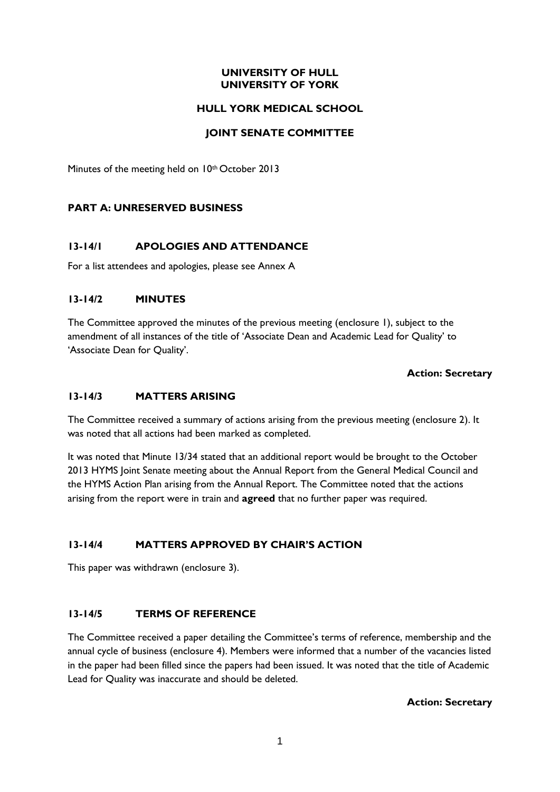### **UNIVERSITY OF HULL UNIVERSITY OF YORK**

### **HULL YORK MEDICAL SCHOOL**

### **JOINT SENATE COMMITTEE**

Minutes of the meeting held on 10<sup>th</sup> October 2013

### **PART A: UNRESERVED BUSINESS**

### **13-14/1 APOLOGIES AND ATTENDANCE**

For a list attendees and apologies, please see Annex A

### **13-14/2 MINUTES**

The Committee approved the minutes of the previous meeting (enclosure 1), subject to the amendment of all instances of the title of 'Associate Dean and Academic Lead for Quality' to 'Associate Dean for Quality'.

#### **Action: Secretary**

### **13-14/3 MATTERS ARISING**

The Committee received a summary of actions arising from the previous meeting (enclosure 2). It was noted that all actions had been marked as completed.

It was noted that Minute 13/34 stated that an additional report would be brought to the October 2013 HYMS Joint Senate meeting about the Annual Report from the General Medical Council and the HYMS Action Plan arising from the Annual Report. The Committee noted that the actions arising from the report were in train and **agreed** that no further paper was required.

### **13-14/4 MATTERS APPROVED BY CHAIR'S ACTION**

This paper was withdrawn (enclosure 3).

### **13-14/5 TERMS OF REFERENCE**

The Committee received a paper detailing the Committee's terms of reference, membership and the annual cycle of business (enclosure 4). Members were informed that a number of the vacancies listed in the paper had been filled since the papers had been issued. It was noted that the title of Academic Lead for Quality was inaccurate and should be deleted.

#### **Action: Secretary**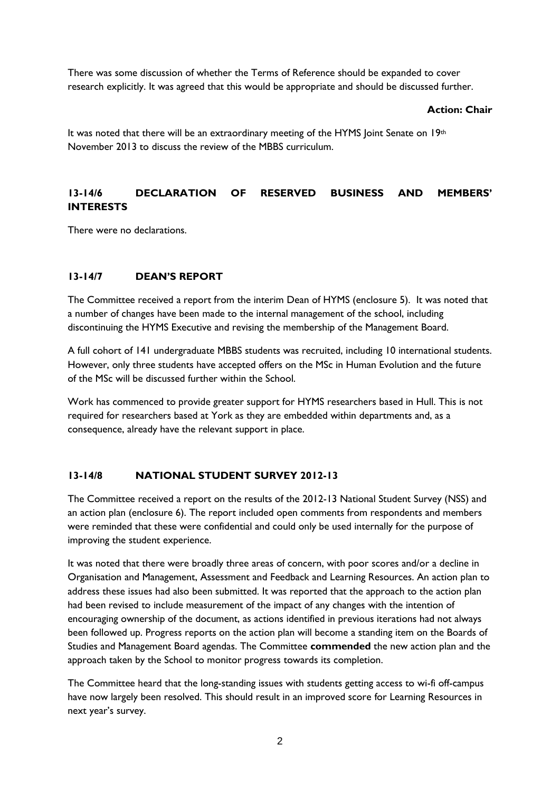There was some discussion of whether the Terms of Reference should be expanded to cover research explicitly. It was agreed that this would be appropriate and should be discussed further.

### **Action: Chair**

It was noted that there will be an extraordinary meeting of the HYMS Joint Senate on 19th November 2013 to discuss the review of the MBBS curriculum.

# **13-14/6 DECLARATION OF RESERVED BUSINESS AND MEMBERS' INTERESTS**

There were no declarations.

# **13-14/7 DEAN'S REPORT**

The Committee received a report from the interim Dean of HYMS (enclosure 5). It was noted that a number of changes have been made to the internal management of the school, including discontinuing the HYMS Executive and revising the membership of the Management Board.

A full cohort of 141 undergraduate MBBS students was recruited, including 10 international students. However, only three students have accepted offers on the MSc in Human Evolution and the future of the MSc will be discussed further within the School.

Work has commenced to provide greater support for HYMS researchers based in Hull. This is not required for researchers based at York as they are embedded within departments and, as a consequence, already have the relevant support in place.

# **13-14/8 NATIONAL STUDENT SURVEY 2012-13**

The Committee received a report on the results of the 2012-13 National Student Survey (NSS) and an action plan (enclosure 6). The report included open comments from respondents and members were reminded that these were confidential and could only be used internally for the purpose of improving the student experience.

It was noted that there were broadly three areas of concern, with poor scores and/or a decline in Organisation and Management, Assessment and Feedback and Learning Resources. An action plan to address these issues had also been submitted. It was reported that the approach to the action plan had been revised to include measurement of the impact of any changes with the intention of encouraging ownership of the document, as actions identified in previous iterations had not always been followed up. Progress reports on the action plan will become a standing item on the Boards of Studies and Management Board agendas. The Committee **commended** the new action plan and the approach taken by the School to monitor progress towards its completion.

The Committee heard that the long-standing issues with students getting access to wi-fi off-campus have now largely been resolved. This should result in an improved score for Learning Resources in next year's survey.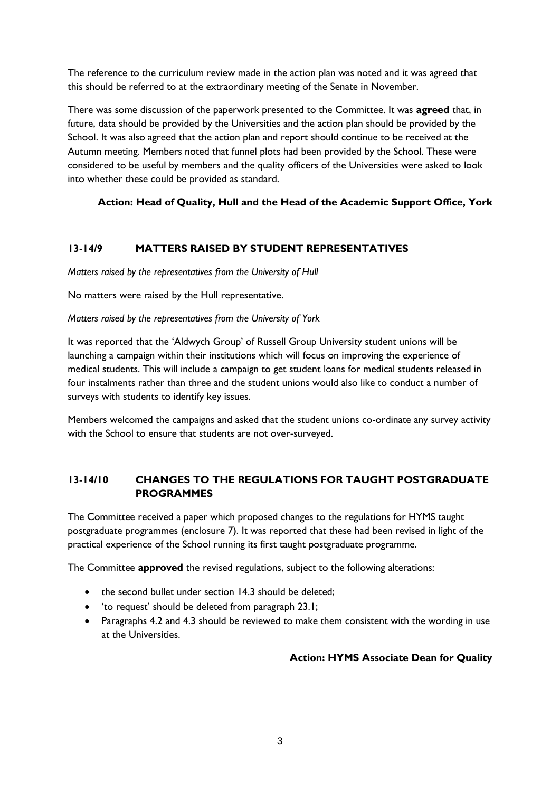The reference to the curriculum review made in the action plan was noted and it was agreed that this should be referred to at the extraordinary meeting of the Senate in November.

There was some discussion of the paperwork presented to the Committee. It was **agreed** that, in future, data should be provided by the Universities and the action plan should be provided by the School. It was also agreed that the action plan and report should continue to be received at the Autumn meeting. Members noted that funnel plots had been provided by the School. These were considered to be useful by members and the quality officers of the Universities were asked to look into whether these could be provided as standard.

# **Action: Head of Quality, Hull and the Head of the Academic Support Office, York**

# **13-14/9 MATTERS RAISED BY STUDENT REPRESENTATIVES**

*Matters raised by the representatives from the University of Hull*

No matters were raised by the Hull representative.

### *Matters raised by the representatives from the University of York*

It was reported that the 'Aldwych Group' of Russell Group University student unions will be launching a campaign within their institutions which will focus on improving the experience of medical students. This will include a campaign to get student loans for medical students released in four instalments rather than three and the student unions would also like to conduct a number of surveys with students to identify key issues.

Members welcomed the campaigns and asked that the student unions co-ordinate any survey activity with the School to ensure that students are not over-surveyed.

# **13-14/10 CHANGES TO THE REGULATIONS FOR TAUGHT POSTGRADUATE PROGRAMMES**

The Committee received a paper which proposed changes to the regulations for HYMS taught postgraduate programmes (enclosure 7). It was reported that these had been revised in light of the practical experience of the School running its first taught postgraduate programme.

The Committee **approved** the revised regulations, subject to the following alterations:

- the second bullet under section 14.3 should be deleted;
- 'to request' should be deleted from paragraph 23.1;
- Paragraphs 4.2 and 4.3 should be reviewed to make them consistent with the wording in use at the Universities.

### **Action: HYMS Associate Dean for Quality**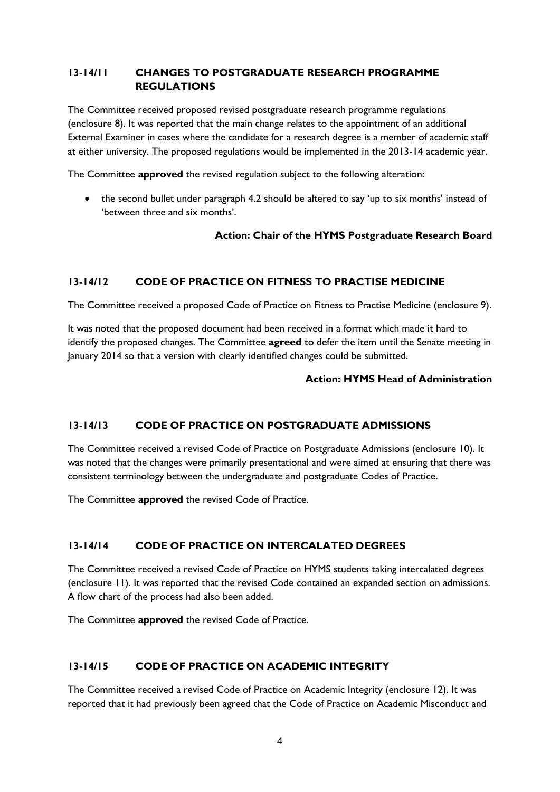# **13-14/11 CHANGES TO POSTGRADUATE RESEARCH PROGRAMME REGULATIONS**

The Committee received proposed revised postgraduate research programme regulations (enclosure 8). It was reported that the main change relates to the appointment of an additional External Examiner in cases where the candidate for a research degree is a member of academic staff at either university. The proposed regulations would be implemented in the 2013-14 academic year.

The Committee **approved** the revised regulation subject to the following alteration:

• the second bullet under paragraph 4.2 should be altered to say 'up to six months' instead of 'between three and six months'.

### **Action: Chair of the HYMS Postgraduate Research Board**

### **13-14/12 CODE OF PRACTICE ON FITNESS TO PRACTISE MEDICINE**

The Committee received a proposed Code of Practice on Fitness to Practise Medicine (enclosure 9).

It was noted that the proposed document had been received in a format which made it hard to identify the proposed changes. The Committee **agreed** to defer the item until the Senate meeting in January 2014 so that a version with clearly identified changes could be submitted.

### **Action: HYMS Head of Administration**

### **13-14/13 CODE OF PRACTICE ON POSTGRADUATE ADMISSIONS**

The Committee received a revised Code of Practice on Postgraduate Admissions (enclosure 10). It was noted that the changes were primarily presentational and were aimed at ensuring that there was consistent terminology between the undergraduate and postgraduate Codes of Practice.

The Committee **approved** the revised Code of Practice.

### **13-14/14 CODE OF PRACTICE ON INTERCALATED DEGREES**

The Committee received a revised Code of Practice on HYMS students taking intercalated degrees (enclosure 11). It was reported that the revised Code contained an expanded section on admissions. A flow chart of the process had also been added.

The Committee **approved** the revised Code of Practice.

# **13-14/15 CODE OF PRACTICE ON ACADEMIC INTEGRITY**

The Committee received a revised Code of Practice on Academic Integrity (enclosure 12). It was reported that it had previously been agreed that the Code of Practice on Academic Misconduct and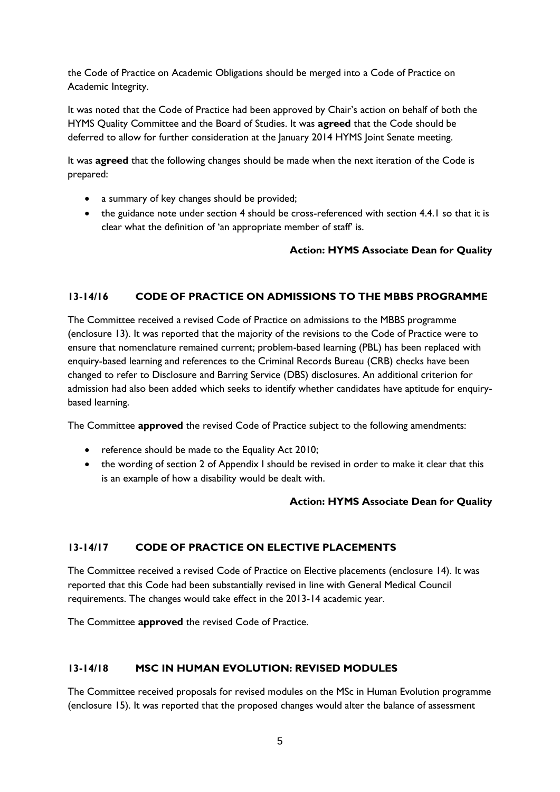the Code of Practice on Academic Obligations should be merged into a Code of Practice on Academic Integrity.

It was noted that the Code of Practice had been approved by Chair's action on behalf of both the HYMS Quality Committee and the Board of Studies. It was **agreed** that the Code should be deferred to allow for further consideration at the January 2014 HYMS Joint Senate meeting.

It was **agreed** that the following changes should be made when the next iteration of the Code is prepared:

- a summary of key changes should be provided;
- the guidance note under section 4 should be cross-referenced with section 4.4.1 so that it is clear what the definition of 'an appropriate member of staff' is.

### **Action: HYMS Associate Dean for Quality**

# **13-14/16 CODE OF PRACTICE ON ADMISSIONS TO THE MBBS PROGRAMME**

The Committee received a revised Code of Practice on admissions to the MBBS programme (enclosure 13). It was reported that the majority of the revisions to the Code of Practice were to ensure that nomenclature remained current; problem-based learning (PBL) has been replaced with enquiry-based learning and references to the Criminal Records Bureau (CRB) checks have been changed to refer to Disclosure and Barring Service (DBS) disclosures. An additional criterion for admission had also been added which seeks to identify whether candidates have aptitude for enquirybased learning.

The Committee **approved** the revised Code of Practice subject to the following amendments:

- reference should be made to the Equality Act 2010;
- the wording of section 2 of Appendix I should be revised in order to make it clear that this is an example of how a disability would be dealt with.

### **Action: HYMS Associate Dean for Quality**

### **13-14/17 CODE OF PRACTICE ON ELECTIVE PLACEMENTS**

The Committee received a revised Code of Practice on Elective placements (enclosure 14). It was reported that this Code had been substantially revised in line with General Medical Council requirements. The changes would take effect in the 2013-14 academic year.

The Committee **approved** the revised Code of Practice.

### **13-14/18 MSC IN HUMAN EVOLUTION: REVISED MODULES**

The Committee received proposals for revised modules on the MSc in Human Evolution programme (enclosure 15). It was reported that the proposed changes would alter the balance of assessment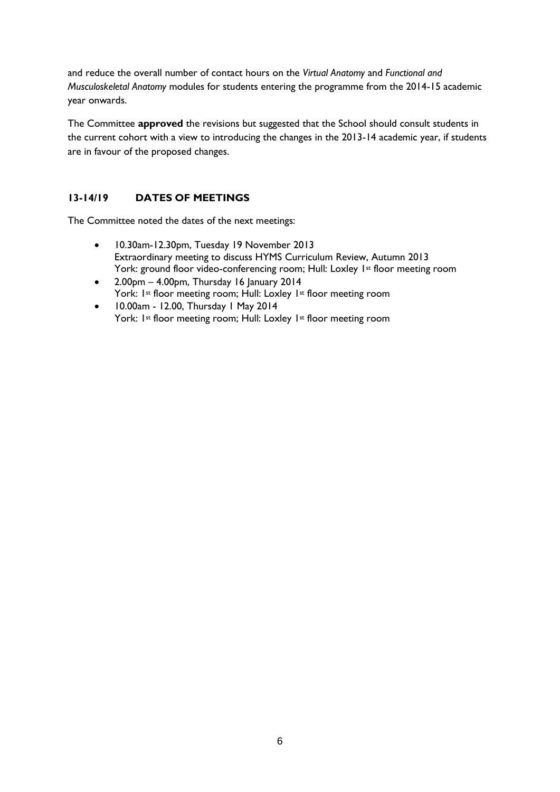and reduce the overall number of contact hours on the *Virtual Anatomy* and *Functional and Musculoskeletal Anatomy* modules for students entering the programme from the 2014-15 academic year onwards.

The Committee **approved** the revisions but suggested that the School should consult students in the current cohort with a view to introducing the changes in the 2013-14 academic year, if students are in favour of the proposed changes.

# **13-14/19 DATES OF MEETINGS**

The Committee noted the dates of the next meetings:

- 10.30am-12.30pm, Tuesday 19 November 2013 Extraordinary meeting to discuss HYMS Curriculum Review, Autumn 2013 York: ground floor video-conferencing room; Hull: Loxley 1st floor meeting room
- $\bullet$  2.00pm 4.00pm, Thursday 16 January 2014 York: 1<sup>st</sup> floor meeting room; Hull: Loxley 1<sup>st</sup> floor meeting room
- 10.00am 12.00, Thursday 1 May 2014 York: 1st floor meeting room; Hull: Loxley 1st floor meeting room